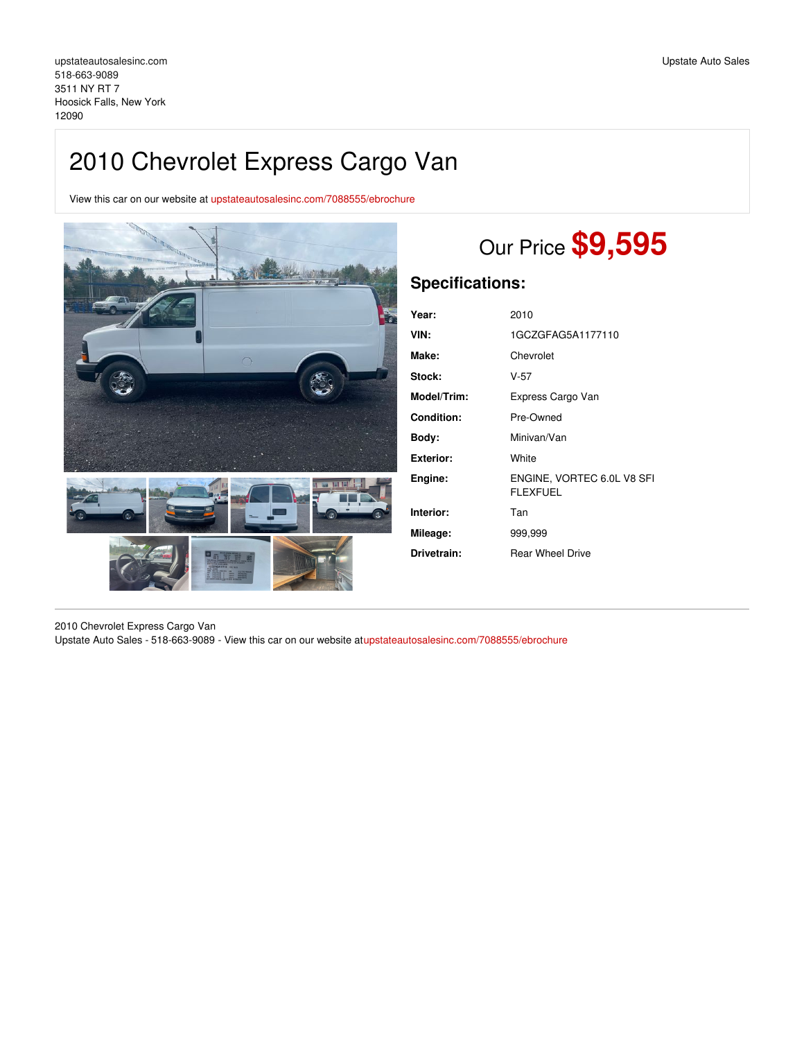View this car on our website at [upstateautosalesinc.com/7088555/ebrochure](https://upstateautosalesinc.com/vehicle/7088555/2010-chevrolet-express-cargo-van-hoosick-falls-new-york-12090/7088555/ebrochure)



# Our Price **\$9,595**

## **Specifications:**

| Year:              | 2010                                          |
|--------------------|-----------------------------------------------|
| VIN:               | 1GCZGFAG5A1177110                             |
| Make:              | Chevrolet                                     |
| Stock:             | V-57                                          |
| <b>Model/Trim:</b> | Express Cargo Van                             |
| <b>Condition:</b>  | Pre-Owned                                     |
| Body:              | Minivan/Van                                   |
| Exterior:          | White                                         |
| Engine:            | ENGINE, VORTEC 6.0L V8 SFI<br><b>FLEXFUEL</b> |
| Interior:          | Tan                                           |
| Mileage:           | 999.999                                       |
| Drivetrain:        | <b>Rear Wheel Drive</b>                       |

2010 Chevrolet Express Cargo Van Upstate Auto Sales - 518-663-9089 - View this car on our website a[tupstateautosalesinc.com/7088555/ebrochure](https://upstateautosalesinc.com/vehicle/7088555/2010-chevrolet-express-cargo-van-hoosick-falls-new-york-12090/7088555/ebrochure)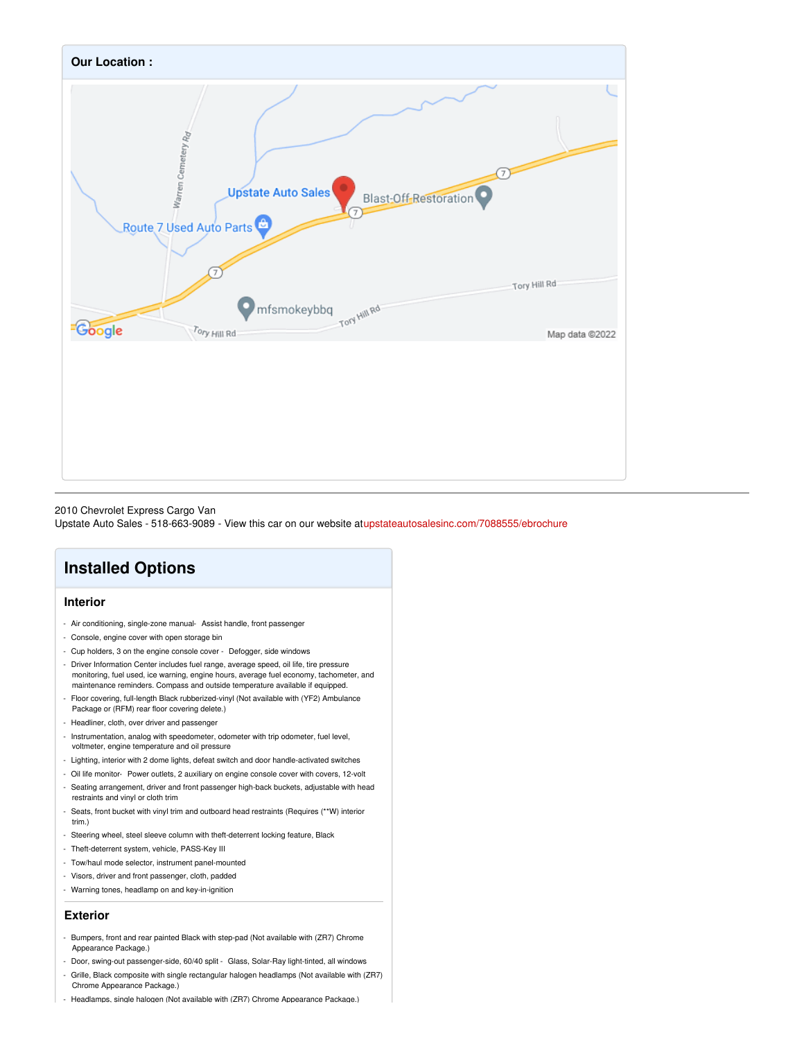

#### 2010 Chevrolet Express Cargo Van

Upstate Auto Sales - 518-663-9089 - View this car on our website a[tupstateautosalesinc.com/7088555/ebrochure](https://upstateautosalesinc.com/vehicle/7088555/2010-chevrolet-express-cargo-van-hoosick-falls-new-york-12090/7088555/ebrochure)

# **Installed Options**

### **Interior**

- Air conditioning, single-zone manual- Assist handle, front passenger
- Console, engine cover with open storage bin
- Cup holders, 3 on the engine console cover Defogger, side windows
- Driver Information Center includes fuel range, average speed, oil life, tire pressure monitoring, fuel used, ice warning, engine hours, average fuel economy, tachometer, and maintenance reminders. Compass and outside temperature available if equipped.
- Floor covering, full-length Black rubberized-vinyl (Not available with (YF2) Ambulance Package or (RFM) rear floor covering delete.)
- Headliner, cloth, over driver and passenger
- Instrumentation, analog with speedometer, odometer with trip odometer, fuel level, voltmeter, engine temperature and oil pressure
- Lighting, interior with 2 dome lights, defeat switch and door handle-activated switches
- Oil life monitor- Power outlets, 2 auxiliary on engine console cover with covers, 12-volt
- Seating arrangement, driver and front passenger high-back buckets, adjustable with head restraints and vinyl or cloth trim
- Seats, front bucket with vinyl trim and outboard head restraints (Requires (\*\*W) interior trim.)
- Steering wheel, steel sleeve column with theft-deterrent locking feature, Black
- Theft-deterrent system, vehicle, PASS-Key III
- Tow/haul mode selector, instrument panel-mounted
- Visors, driver and front passenger, cloth, padded
- Warning tones, headlamp on and key-in-ignition

#### **Exterior**

- Bumpers, front and rear painted Black with step-pad (Not available with (ZR7) Chrome Appearance Package.)
- Door, swing-out passenger-side, 60/40 split Glass, Solar-Ray light-tinted, all windows
- Grille, Black composite with single rectangular halogen headlamps (Not available with (ZR7) Chrome Appearance Package.)
- Headlamps, single halogen (Not available with (ZR7) Chrome Appearance Package.)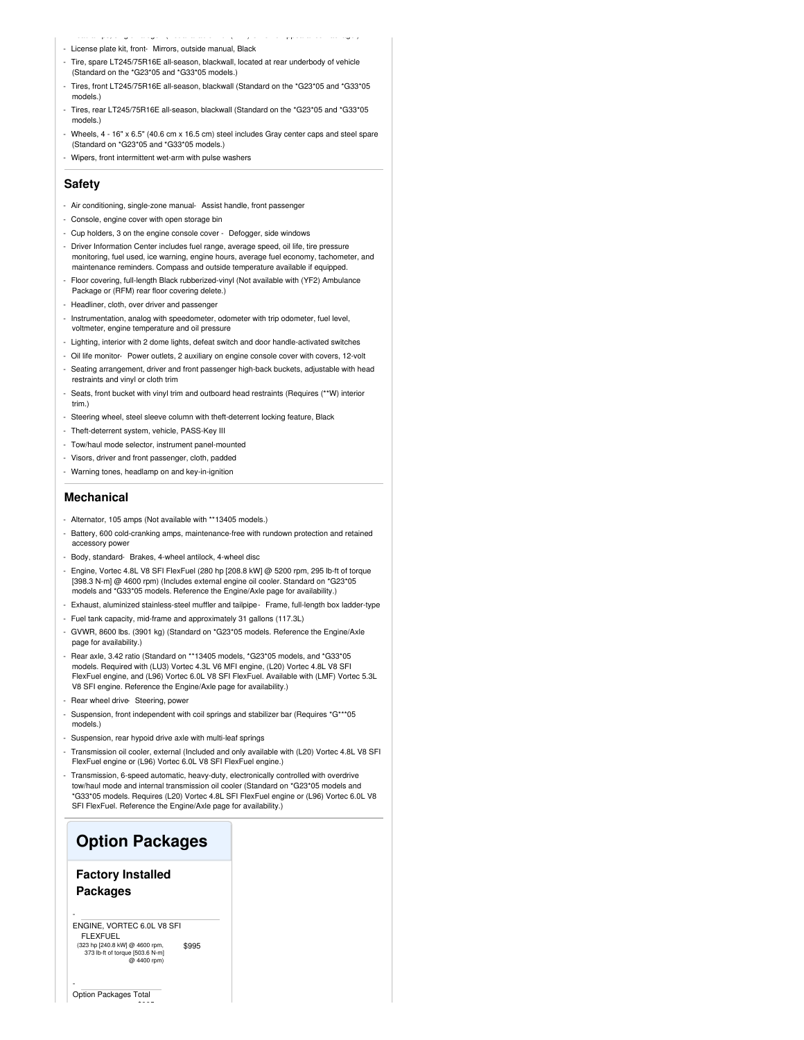- License plate kit, front- Mirrors, outside manual, Black
- Tire, spare LT245/75R16E all-season, blackwall, located at rear underbody of vehicle (Standard on the \*G23\*05 and \*G33\*05 models.)

- Headlamps, single halogen (Not available with (ZR7) Chrome Appearance Package.)

- Tires, front LT245/75R16E all-season, blackwall (Standard on the \*G23\*05 and \*G33\*05 models.
- Tires, rear LT245/75R16E all-season, blackwall (Standard on the \*G23\*05 and \*G33\*05 models.)
- Wheels, 4 16" x 6.5" (40.6 cm x 16.5 cm) steel includes Gray center caps and steel spare (Standard on \*G23\*05 and \*G33\*05 models.)
- Wipers, front intermittent wet-arm with pulse washers

#### **Safety**

- Air conditioning, single-zone manual- Assist handle, front passenger
- Console, engine cover with open storage bin
- Cup holders, 3 on the engine console cover Defogger, side windows
- Driver Information Center includes fuel range, average speed, oil life, tire pressure monitoring, fuel used, ice warning, engine hours, average fuel economy, tachometer, and maintenance reminders. Compass and outside temperature available if equipped.
- Floor covering, full-length Black rubberized-vinyl (Not available with (YF2) Ambulance Package or (RFM) rear floor covering delete.)
- Headliner, cloth, over driver and passenger
- Instrumentation, analog with speedometer, odometer with trip odometer, fuel level, voltmeter, engine temperature and oil pressure
- Lighting, interior with 2 dome lights, defeat switch and door handle-activated switches
- Oil life monitor- Power outlets, 2 auxiliary on engine console cover with covers, 12-volt
- Seating arrangement, driver and front passenger high-back buckets, adjustable with head restraints and vinyl or cloth trim
- Seats, front bucket with vinyl trim and outboard head restraints (Requires (\*\*W) interior trim.)
- Steering wheel, steel sleeve column with theft-deterrent locking feature, Black
- Theft-deterrent system, vehicle, PASS-Key III
- Tow/haul mode selector, instrument panel-mounted
- Visors, driver and front passenger, cloth, padded
- Warning tones, headlamp on and key-in-ignition

#### **Mechanical**

- Alternator, 105 amps (Not available with \*\*13405 models.)
- Battery, 600 cold-cranking amps, maintenance-free with rundown protection and retained accessory power
- Body, standard- Brakes, 4-wheel antilock, 4-wheel disc
- Engine, Vortec 4.8L V8 SFI FlexFuel (280 hp [208.8 kW] @ 5200 rpm, 295 lb-ft of torque [398.3 N-m] @ 4600 rpm) (Includes external engine oil cooler. Standard on \*G23\*05 models and \*G33\*05 models. Reference the Engine/Axle page for availability.)
- Exhaust, aluminized stainless-steel muffler and tailpipe- Frame, full-length box ladder-type
- Fuel tank capacity, mid-frame and approximately 31 gallons (117.3L)
- GVWR, 8600 lbs. (3901 kg) (Standard on \*G23\*05 models. Reference the Engine/Axle page for availability.)
- Rear axle, 3.42 ratio (Standard on \*\*13405 models, \*G23\*05 models, and \*G33\*05 models. Required with (LU3) Vortec 4.3L V6 MFI engine, (L20) Vortec 4.8L V8 SFI FlexFuel engine, and (L96) Vortec 6.0L V8 SFI FlexFuel. Available with (LMF) Vortec 5.3L V8 SFI engine. Reference the Engine/Axle page for availability.)
- Rear wheel drive- Steering, power
- Suspension, front independent with coil springs and stabilizer bar (Requires \*G\*\*\*05 models.)
- Suspension, rear hypoid drive axle with multi-leaf springs
- Transmission oil cooler, external (Included and only available with (L20) Vortec 4.8L V8 SFI FlexFuel engine or (L96) Vortec 6.0L V8 SFI FlexFuel engine.)
- Transmission, 6-speed automatic, heavy-duty, electronically controlled with overdrive tow/haul mode and internal transmission oil cooler (Standard on \*G23\*05 models and \*G33\*05 models. Requires (L20) Vortec 4.8L SFI FlexFuel engine or (L96) Vortec 6.0L V8 SFI FlexFuel. Reference the Engine/Axle page for availability.)

## **Option Packages**

## **Factory Installed Packages**

\$995 ENGINE, VORTEC 6.0L V8 SFI FLEXFUEL (323 hp [240.8 kW] @ 4600 rpm, 373 lb-ft of torque [503.6 N-m] @ 4400 rpm)

\$995

-

-